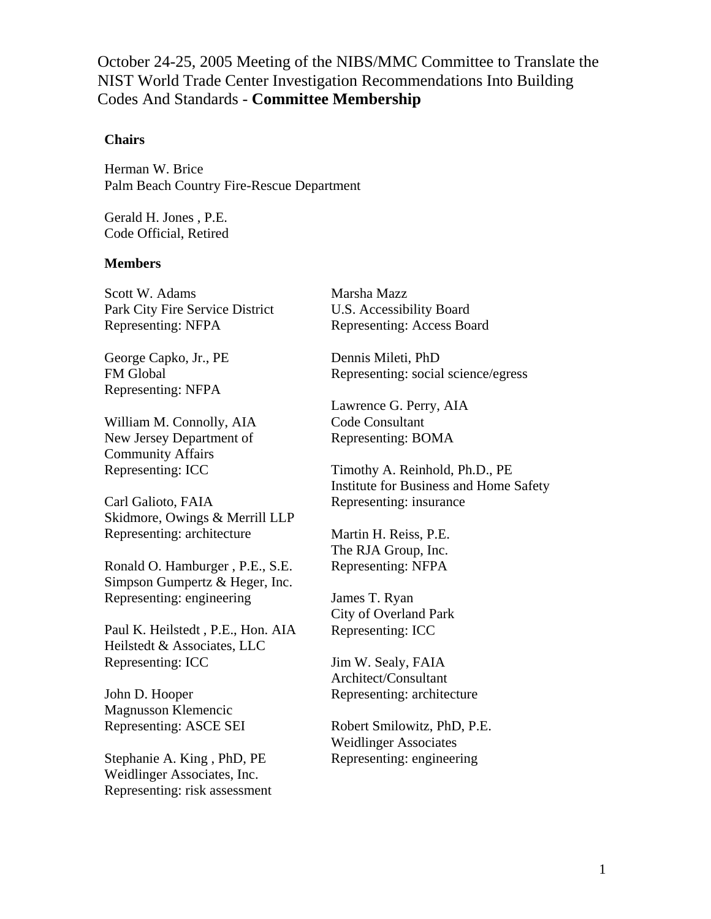October 24-25, 2005 Meeting of the NIBS/MMC Committee to Translate the NIST World Trade Center Investigation Recommendations Into Building Codes And Standards - **Committee Membership** 

## **Chairs**

Herman W. Brice Palm Beach Country Fire-Rescue Department

Gerald H. Jones , P.E. Code Official, Retired

## **Members**

Scott W. Adams Park City Fire Service District Representing: NFPA

George Capko, Jr., PE FM Global Representing: NFPA

William M. Connolly, AIA New Jersey Department of Community Affairs Representing: ICC

Carl Galioto, FAIA Skidmore, Owings & Merrill LLP Representing: architecture

Ronald O. Hamburger , P.E., S.E. Simpson Gumpertz & Heger, Inc. Representing: engineering

Paul K. Heilstedt , P.E., Hon. AIA Heilstedt & Associates, LLC Representing: ICC

John D. Hooper Magnusson Klemencic Representing: ASCE SEI

Stephanie A. King , PhD, PE Weidlinger Associates, Inc. Representing: risk assessment Marsha Mazz U.S. Accessibility Board Representing: Access Board

Dennis Mileti, PhD Representing: social science/egress

Lawrence G. Perry, AIA Code Consultant Representing: BOMA

Timothy A. Reinhold, Ph.D., PE Institute for Business and Home Safety Representing: insurance

Martin H. Reiss, P.E. The RJA Group, Inc. Representing: NFPA

James T. Ryan City of Overland Park Representing: ICC

Jim W. Sealy, FAIA Architect/Consultant Representing: architecture

Robert Smilowitz, PhD, P.E. Weidlinger Associates Representing: engineering